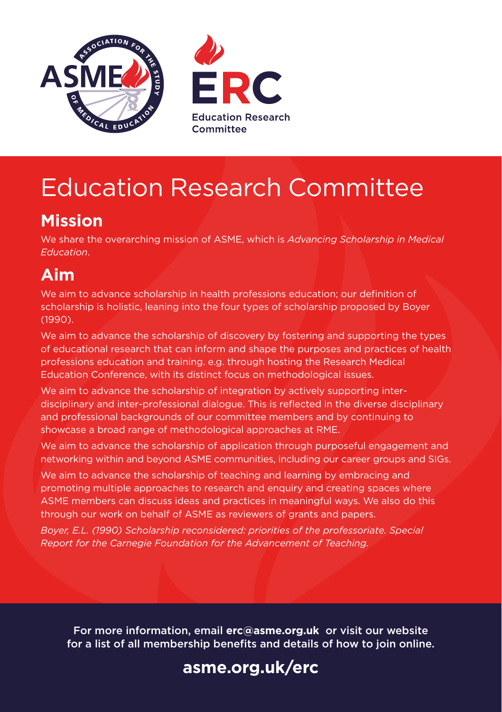



# Education Research Committee

# **Mission**

We share the overarching mission of ASME, which is *Advancing Scholarship in Medical Education*.

# **Aim**

We aim to advance scholarship in health professions education; our definition of scholarship is holistic, leaning into the four types of scholarship proposed by Boyer (1990).

We aim to advance the scholarship of discovery by fostering and supporting the types of educational research that can inform and shape the purposes and practices of health professions education and training. e.g. through hosting the Research Medical Education Conference, with its distinct focus on methodological issues.

We aim to advance the scholarship of integration by actively supporting interdisciplinary and inter-professional dialogue. This is reflected in the diverse disciplinary and professional backgrounds of our committee members and by continuing to showcase a broad range of methodological approaches at RME.

We aim to advance the scholarship of application through purposeful engagement and networking within and beyond ASME communities, including our career groups and SIGs.

We aim to advance the scholarship of teaching and learning by embracing and promoting multiple approaches to research and enquiry and creating spaces where ASME members can discuss ideas and practices in meaningful ways. We also do this through our work on behalf of ASME as reviewers of grants and papers.

*Boyer, E.L. (1990) Scholarship reconsidered: priorities of the professoriate. Special Report for the Carnegie Foundation for the Advancement of Teaching.*

For more information, email **erc@asme.org.uk** or visit our website for a list of all membership benefits and details of how to join online.

# **[asme.org.uk/erc](www.asme.org.uk/erc)**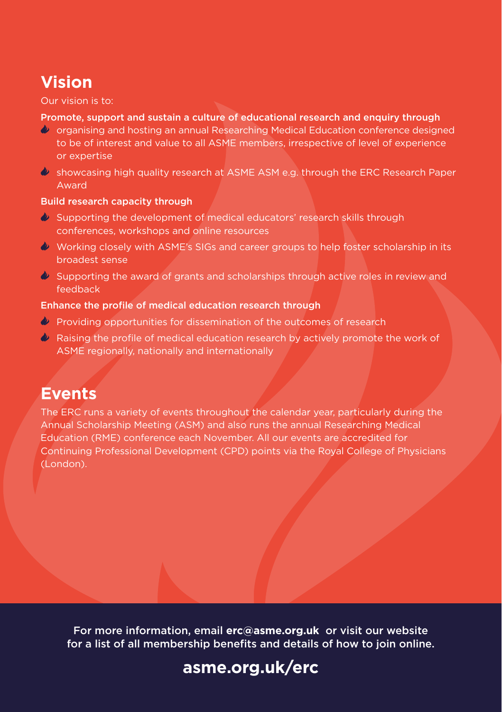# **Vision**

#### Our vision is to:

### Promote, support and sustain a culture of educational research and enquiry through

- organising and hosting an annual Researching Medical Education conference designed to be of interest and value to all ASME members, irrespective of level of experience or expertise
- $\bullet$  showcasing high quality research at ASME ASM e.g. through the ERC Research Paper Award

### Build research capacity through

- Supporting the development of medical educators' research skills through conferences, workshops and online resources
- Working closely with ASME's SIGs and career groups to help foster scholarship in its broadest sense
- $\bullet$  Supporting the award of grants and scholarships through active roles in review and feedback

### Enhance the profile of medical education research through

- **Providing opportunities for dissemination of the outcomes of research**
- Raising the profile of medical education research by actively promote the work of ASME regionally, nationally and internationally

### **Events**

The ERC runs a variety of events throughout the calendar year, particularly during the Annual Scholarship Meeting (ASM) and also runs the annual Researching Medical Education (RME) conference each November. All our events are accredited for Continuing Professional Development (CPD) points via the Royal College of Physicians (London).

For more information, email **erc@asme.org.uk** or visit our website for a list of all membership benefits and details of how to join online.

### **[asme.org.uk/erc](www.asme.org.uk/erc)**